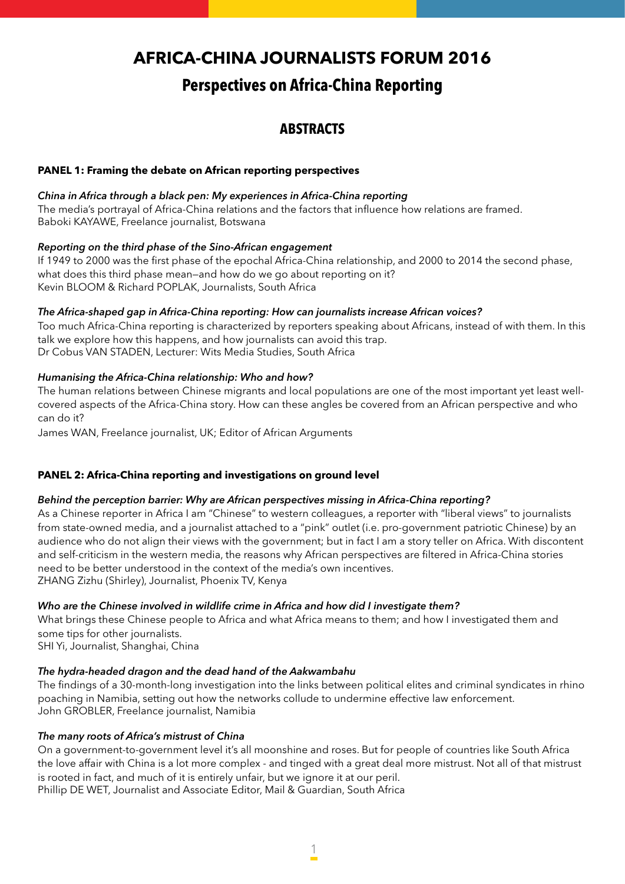# **Africa-China Journalists Forum 2016**

# **Perspectives on Africa-China Reporting**

# **ABSTRACTS**

# **PANEL 1: Framing the debate on African reporting perspectives**

# *China in Africa through a black pen: My experiences in Africa-China reporting*

The media's portrayal of Africa-China relations and the factors that influence how relations are framed. Baboki KAYAWE, Freelance journalist, Botswana

# *Reporting on the third phase of the Sino-African engagement*

If 1949 to 2000 was the first phase of the epochal Africa-China relationship, and 2000 to 2014 the second phase, what does this third phase mean—and how do we go about reporting on it? Kevin BLOOM & Richard POPLAK, Journalists, South Africa

# *The Africa-shaped gap in Africa-China reporting: How can journalists increase African voices?*

Too much Africa-China reporting is characterized by reporters speaking about Africans, instead of with them. In this talk we explore how this happens, and how journalists can avoid this trap. Dr Cobus VAN STADEN, Lecturer: Wits Media Studies, South Africa

# *Humanising the Africa-China relationship: Who and how?*

The human relations between Chinese migrants and local populations are one of the most important yet least wellcovered aspects of the Africa-China story. How can these angles be covered from an African perspective and who can do it?

James WAN, Freelance journalist, UK; Editor of African Arguments

# **PANEL 2: Africa-China reporting and investigations on ground level**

# *Behind the perception barrier: Why are African perspectives missing in Africa-China reporting?*

As a Chinese reporter in Africa I am "Chinese" to western colleagues, a reporter with "liberal views" to journalists from state-owned media, and a journalist attached to a "pink" outlet (i.e. pro-government patriotic Chinese) by an audience who do not align their views with the government; but in fact I am a story teller on Africa. With discontent and self-criticism in the western media, the reasons why African perspectives are filtered in Africa-China stories need to be better understood in the context of the media's own incentives. ZHANG Zizhu (Shirley), Journalist, Phoenix TV, Kenya

# *Who are the Chinese involved in wildlife crime in Africa and how did I investigate them?*

What brings these Chinese people to Africa and what Africa means to them; and how I investigated them and some tips for other journalists.

SHI Yi, Journalist, Shanghai, China

# *The hydra-headed dragon and the dead hand of the Aakwambahu*

The findings of a 30-month-long investigation into the links between political elites and criminal syndicates in rhino poaching in Namibia, setting out how the networks collude to undermine effective law enforcement. John GROBLER, Freelance journalist, Namibia

# *The many roots of Africa's mistrust of China*

On a government-to-government level it's all moonshine and roses. But for people of countries like South Africa the love affair with China is a lot more complex - and tinged with a great deal more mistrust. Not all of that mistrust is rooted in fact, and much of it is entirely unfair, but we ignore it at our peril. Phillip DE WET, Journalist and Associate Editor, Mail & Guardian, South Africa

 $\frac{1}{1}$